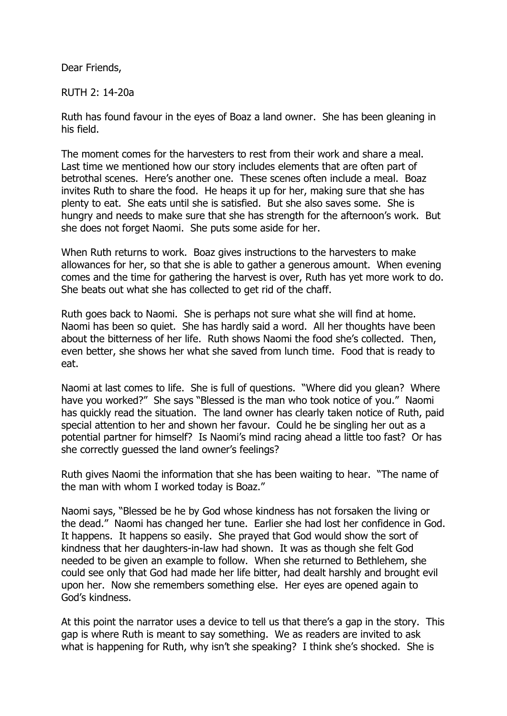Dear Friends,

RUTH 2: 14-20a

Ruth has found favour in the eyes of Boaz a land owner. She has been gleaning in his field.

The moment comes for the harvesters to rest from their work and share a meal. Last time we mentioned how our story includes elements that are often part of betrothal scenes. Here's another one. These scenes often include a meal. Boaz invites Ruth to share the food. He heaps it up for her, making sure that she has plenty to eat. She eats until she is satisfied. But she also saves some. She is hungry and needs to make sure that she has strength for the afternoon's work. But she does not forget Naomi. She puts some aside for her.

When Ruth returns to work. Boaz gives instructions to the harvesters to make allowances for her, so that she is able to gather a generous amount. When evening comes and the time for gathering the harvest is over, Ruth has yet more work to do. She beats out what she has collected to get rid of the chaff.

Ruth goes back to Naomi. She is perhaps not sure what she will find at home. Naomi has been so quiet. She has hardly said a word. All her thoughts have been about the bitterness of her life. Ruth shows Naomi the food she's collected. Then, even better, she shows her what she saved from lunch time. Food that is ready to eat.

Naomi at last comes to life. She is full of questions. "Where did you glean? Where have you worked?" She says "Blessed is the man who took notice of you." Naomi has quickly read the situation. The land owner has clearly taken notice of Ruth, paid special attention to her and shown her favour. Could he be singling her out as a potential partner for himself? Is Naomi's mind racing ahead a little too fast? Or has she correctly guessed the land owner's feelings?

Ruth gives Naomi the information that she has been waiting to hear. "The name of the man with whom I worked today is Boaz."

Naomi says, "Blessed be he by God whose kindness has not forsaken the living or the dead." Naomi has changed her tune. Earlier she had lost her confidence in God. It happens. It happens so easily. She prayed that God would show the sort of kindness that her daughters-in-law had shown. It was as though she felt God needed to be given an example to follow. When she returned to Bethlehem, she could see only that God had made her life bitter, had dealt harshly and brought evil upon her. Now she remembers something else. Her eyes are opened again to God's kindness.

At this point the narrator uses a device to tell us that there's a gap in the story. This gap is where Ruth is meant to say something. We as readers are invited to ask what is happening for Ruth, why isn't she speaking? I think she's shocked. She is